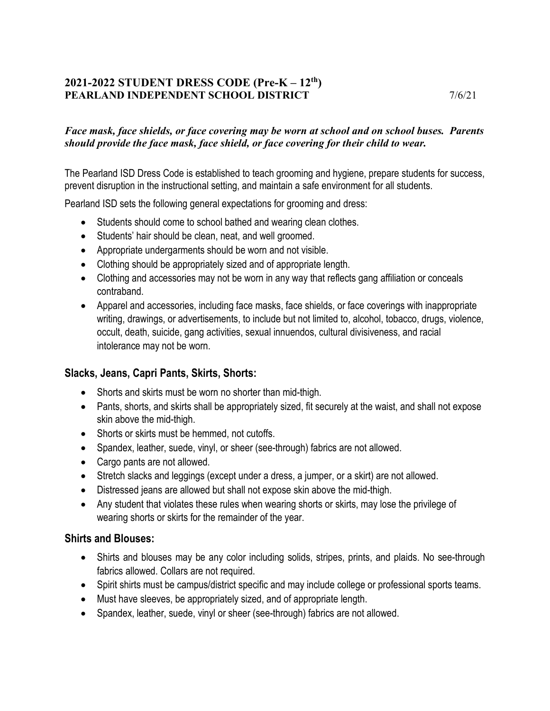### **2021-2022 STUDENT DRESS CODE (Pre-K – 12th) PEARLAND INDEPENDENT SCHOOL DISTRICT 7/6/21**

#### *Face mask, face shields, or face covering may be worn at school and on school buses. Parents should provide the face mask, face shield, or face covering for their child to wear.*

The Pearland ISD Dress Code is established to teach grooming and hygiene, prepare students for success, prevent disruption in the instructional setting, and maintain a safe environment for all students.

Pearland ISD sets the following general expectations for grooming and dress:

- Students should come to school bathed and wearing clean clothes.
- Students' hair should be clean, neat, and well groomed.
- Appropriate undergarments should be worn and not visible.
- Clothing should be appropriately sized and of appropriate length.
- Clothing and accessories may not be worn in any way that reflects gang affiliation or conceals contraband.
- Apparel and accessories, including face masks, face shields, or face coverings with inappropriate writing, drawings, or advertisements, to include but not limited to, alcohol, tobacco, drugs, violence, occult, death, suicide, gang activities, sexual innuendos, cultural divisiveness, and racial intolerance may not be worn.

#### **Slacks, Jeans, Capri Pants, Skirts, Shorts:**

- Shorts and skirts must be worn no shorter than mid-thigh.
- Pants, shorts, and skirts shall be appropriately sized, fit securely at the waist, and shall not expose skin above the mid-thigh.
- Shorts or skirts must be hemmed, not cutoffs.
- Spandex, leather, suede, vinyl, or sheer (see-through) fabrics are not allowed.
- Cargo pants are not allowed.
- Stretch slacks and leggings (except under a dress, a jumper, or a skirt) are not allowed.
- Distressed jeans are allowed but shall not expose skin above the mid-thigh.
- Any student that violates these rules when wearing shorts or skirts, may lose the privilege of wearing shorts or skirts for the remainder of the year.

#### **Shirts and Blouses:**

- Shirts and blouses may be any color including solids, stripes, prints, and plaids. No see-through fabrics allowed. Collars are not required.
- Spirit shirts must be campus/district specific and may include college or professional sports teams.
- Must have sleeves, be appropriately sized, and of appropriate length.
- Spandex, leather, suede, vinyl or sheer (see-through) fabrics are not allowed.